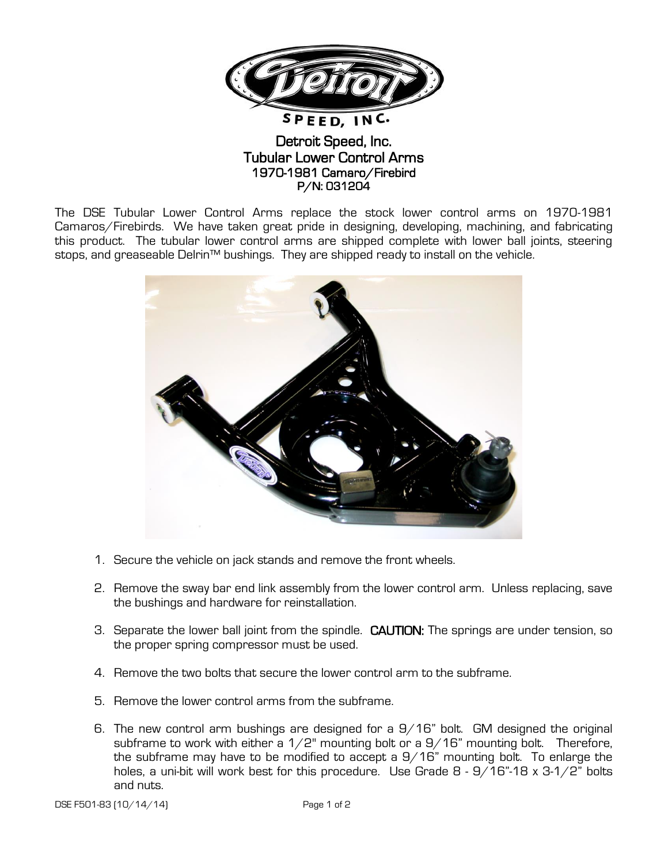

## Detroit Speed, Inc. Tubular Lower Control Arms 1970-1981 Camaro/Firebird P/N: 031204

The DSE Tubular Lower Control Arms replace the stock lower control arms on 1970-1981 Camaros/Firebirds. We have taken great pride in designing, developing, machining, and fabricating this product. The tubular lower control arms are shipped complete with lower ball joints, steering stops, and greaseable Delrin™ bushings. They are shipped ready to install on the vehicle.



- 1. Secure the vehicle on jack stands and remove the front wheels.
- 2. Remove the sway bar end link assembly from the lower control arm. Unless replacing, save the bushings and hardware for reinstallation.
- 3. Separate the lower ball joint from the spindle. CAUTION: The springs are under tension, so the proper spring compressor must be used.
- 4. Remove the two bolts that secure the lower control arm to the subframe.
- 5. Remove the lower control arms from the subframe.
- 6. The new control arm bushings are designed for a  $9/16$ " bolt. GM designed the original subframe to work with either a  $1/2$ " mounting bolt or a  $9/16$ " mounting bolt. Therefore, the subframe may have to be modified to accept a  $9/16$ " mounting bolt. To enlarge the holes, a uni-bit will work best for this procedure. Use Grade 8 - 9/16"-18 x 3-1/2" bolts and nuts.